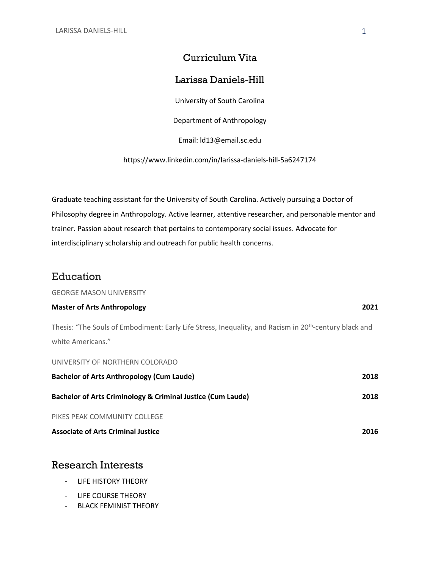## Curriculum Vita

## Larissa Daniels-Hill

University of South Carolina

Department of Anthropology

Email: ld13@email.sc.edu

https://www.linkedin.com/in/larissa-daniels-hill-5a6247174

Graduate teaching assistant for the University of South Carolina. Actively pursuing a Doctor of Philosophy degree in Anthropology. Active learner, attentive researcher, and personable mentor and trainer. Passion about research that pertains to contemporary social issues. Advocate for interdisciplinary scholarship and outreach for public health concerns.

## Education

GEORGE MASON UNIVERSITY

### **Master of Arts Anthropology 2021**

Thesis: "The Souls of Embodiment: Early Life Stress, Inequality, and Racism in 20<sup>th</sup>-century black and white Americans."

UNIVERSITY OF NORTHERN COLORADO **Bachelor of Arts Anthropology (Cum Laude) 2018 Bachelor of Arts Criminology & Criminal Justice (Cum Laude) 2018** PIKES PEAK COMMUNITY COLLEGE **Associate of Arts Criminal Justice 2016**

# Research Interests

- LIFE HISTORY THEORY
- LIFE COURSE THEORY
- BLACK FEMINIST THEORY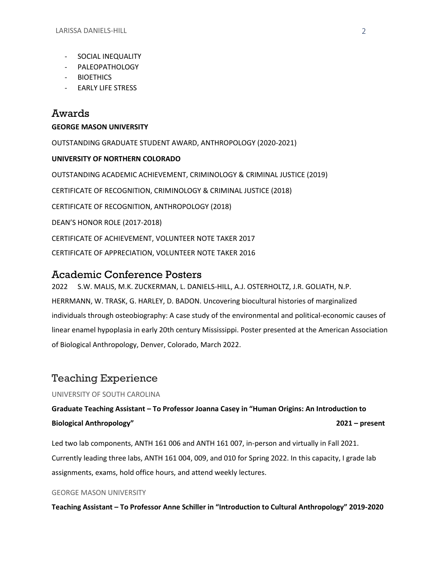- SOCIAL INEQUALITY
- PALEOPATHOLOGY
- BIOETHICS
- EARLY LIFE STRESS

# Awards

# **GEORGE MASON UNIVERSITY**

OUTSTANDING GRADUATE STUDENT AWARD, ANTHROPOLOGY (2020-2021) **UNIVERSITY OF NORTHERN COLORADO** OUTSTANDING ACADEMIC ACHIEVEMENT, CRIMINOLOGY & CRIMINAL JUSTICE (2019) CERTIFICATE OF RECOGNITION, CRIMINOLOGY & CRIMINAL JUSTICE (2018) CERTIFICATE OF RECOGNITION, ANTHROPOLOGY (2018) DEAN'S HONOR ROLE (2017-2018) CERTIFICATE OF ACHIEVEMENT, VOLUNTEER NOTE TAKER 2017 CERTIFICATE OF APPRECIATION, VOLUNTEER NOTE TAKER 2016

# Academic Conference Posters

2022 S.W. MALIS, M.K. ZUCKERMAN, L. DANIELS-HILL, A.J. OSTERHOLTZ, J.R. GOLIATH, N.P. HERRMANN, W. TRASK, G. HARLEY, D. BADON. Uncovering biocultural histories of marginalized individuals through osteobiography: A case study of the environmental and political-economic causes of linear enamel hypoplasia in early 20th century Mississippi. Poster presented at the American Association of Biological Anthropology, Denver, Colorado, March 2022.

# Teaching Experience

## UNIVERSITY OF SOUTH CAROLINA

**Graduate Teaching Assistant – To Professor Joanna Casey in "Human Origins: An Introduction to Biological Anthropology" 2021 – present**

Led two lab components, ANTH 161 006 and ANTH 161 007, in-person and virtually in Fall 2021. Currently leading three labs, ANTH 161 004, 009, and 010 for Spring 2022. In this capacity, I grade lab assignments, exams, hold office hours, and attend weekly lectures.

### GEORGE MASON UNIVERSITY

**Teaching Assistant – To Professor Anne Schiller in "Introduction to Cultural Anthropology" 2019-2020**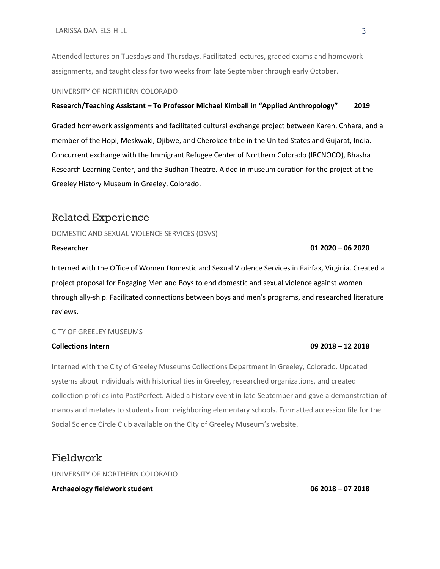Attended lectures on Tuesdays and Thursdays. Facilitated lectures, graded exams and homework assignments, and taught class for two weeks from late September through early October.

#### UNIVERSITY OF NORTHERN COLORADO

#### **Research/Teaching Assistant – To Professor Michael Kimball in "Applied Anthropology" 2019**

Graded homework assignments and facilitated cultural exchange project between Karen, Chhara, and a member of the Hopi, Meskwaki, Ojibwe, and Cherokee tribe in the United States and Gujarat, India. Concurrent exchange with the Immigrant Refugee Center of Northern Colorado (IRCNOCO), Bhasha Research Learning Center, and the Budhan Theatre. Aided in museum curation for the project at the Greeley History Museum in Greeley, Colorado.

## Related Experience

DOMESTIC AND SEXUAL VIOLENCE SERVICES (DSVS)

# Interned with the Office of Women Domestic and Sexual Violence Services in Fairfax, Virginia. Created a project proposal for Engaging Men and Boys to end domestic and sexual violence against women through ally-ship. Facilitated connections between boys and men's programs, and researched literature reviews.

#### CITY OF GREELEY MUSEUMS

Interned with the City of Greeley Museums Collections Department in Greeley, Colorado. Updated systems about individuals with historical ties in Greeley, researched organizations, and created collection profiles into PastPerfect. Aided a history event in late September and gave a demonstration of manos and metates to students from neighboring elementary schools. Formatted accession file for the Social Science Circle Club available on the City of Greeley Museum's website.

## Fieldwork

UNIVERSITY OF NORTHERN COLORADO

#### **Archaeology fieldwork student 06 2018 – 07 2018**

#### **Collections Intern 09 2018 – 12 2018**

#### **Researcher 01 2020 – 06 2020**